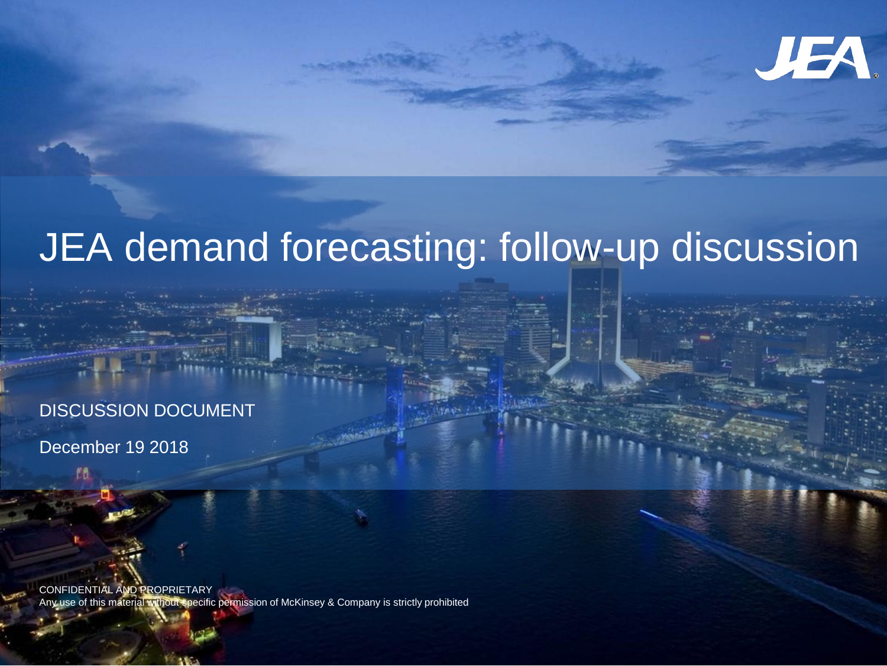

# JEA demand forecasting: follow-up discussion

### DISCUSSION DOCUMENT

December 19 2018

CONFIDENTIAL AND PROPRIETARY Any use of this material without specific permission of McKinsey & Company is strictly prohibited